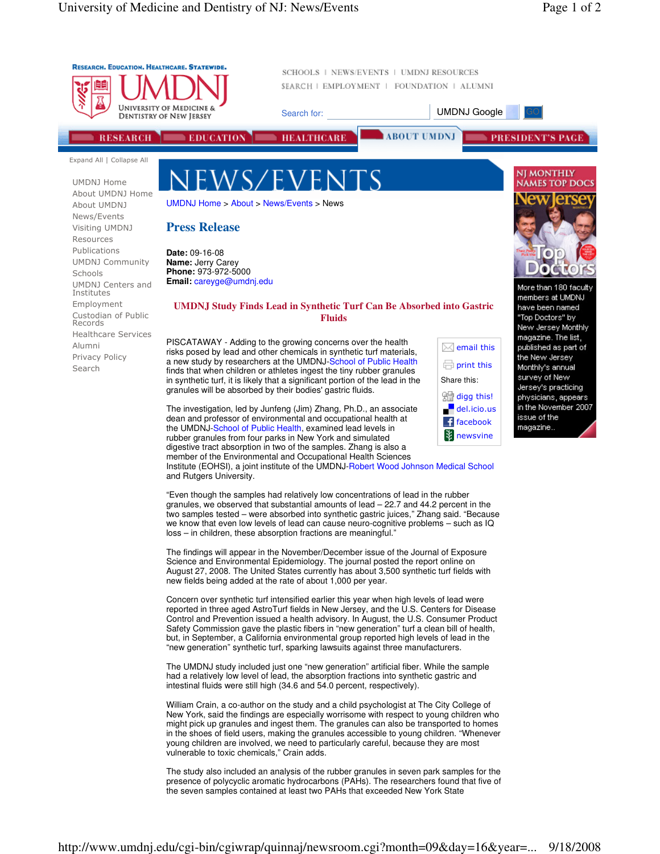

and Rutgers University.

"Even though the samples had relatively low concentrations of lead in the rubber granules, we observed that substantial amounts of lead – 22.7 and 44.2 percent in the two samples tested – were absorbed into synthetic gastric juices," Zhang said. "Because we know that even low levels of lead can cause neuro-cognitive problems – such as IQ loss – in children, these absorption fractions are meaningful."

The findings will appear in the November/December issue of the Journal of Exposure Science and Environmental Epidemiology. The journal posted the report online on August 27, 2008. The United States currently has about 3,500 synthetic turf fields with new fields being added at the rate of about 1,000 per year.

Concern over synthetic turf intensified earlier this year when high levels of lead were reported in three aged AstroTurf fields in New Jersey, and the U.S. Centers for Disease Control and Prevention issued a health advisory. In August, the U.S. Consumer Product Safety Commission gave the plastic fibers in "new generation" turf a clean bill of health, but, in September, a California environmental group reported high levels of lead in the "new generation" synthetic turf, sparking lawsuits against three manufacturers.

The UMDNJ study included just one "new generation" artificial fiber. While the sample had a relatively low level of lead, the absorption fractions into synthetic gastric and intestinal fluids were still high (34.6 and 54.0 percent, respectively).

William Crain, a co-author on the study and a child psychologist at The City College of New York, said the findings are especially worrisome with respect to young children who might pick up granules and ingest them. The granules can also be transported to homes in the shoes of field users, making the granules accessible to young children. "Whenever young children are involved, we need to particularly careful, because they are most vulnerable to toxic chemicals," Crain adds.

The study also included an analysis of the rubber granules in seven park samples for the presence of polycyclic aromatic hydrocarbons (PAHs). The researchers found that five of the seven samples contained at least two PAHs that exceeded New York State